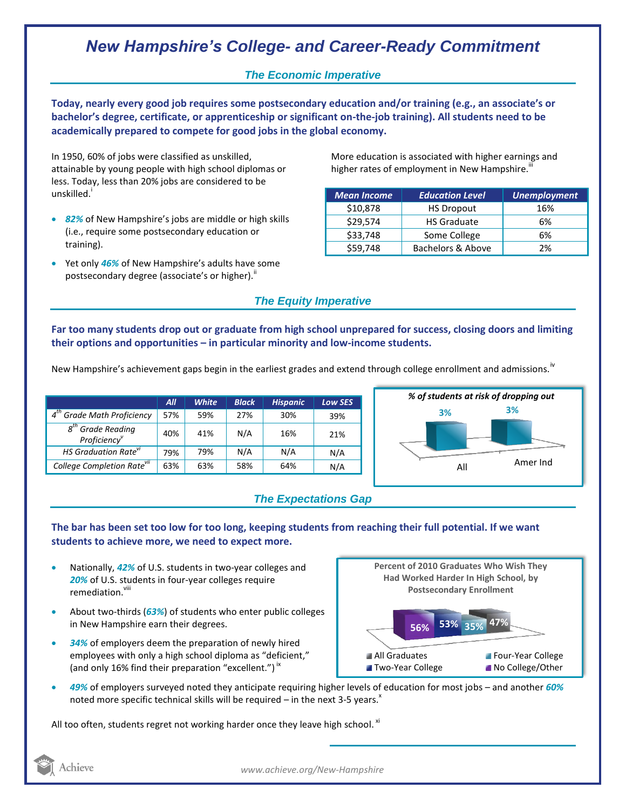# *New Hampshire's College- and Career-Ready Commitment*

### *The Economic Imperative*

**Today, nearly every good job requires some postsecondary education and/or training (e.g., an associate's or bachelor's degree, certificate, or apprenticeship or significant on-the-job training). All students need to be academically prepared to compete for good jobs in the global economy.**

In 1950, 60% of jobs were classified as unskilled, attainable by young people with high school diplomas or less. Today, less than 20% jobs are considered to be unskilled.<sup>1</sup>

- *82%* of New Hampshire's jobs are middle or high skills (i.e., require some postsecondary education or training).
- Yet only *46%* of New Hampshire's adults have some postsecondary degree (associate's or higher)."

More education is associated with higher earnings and higher rates of employment in New Hampshire.<sup>""</sup>

| <b>Mean Income</b> | <b>Education Level</b> | <b>Unemployment</b> |
|--------------------|------------------------|---------------------|
| \$10,878           | <b>HS Dropout</b>      | 16%                 |
| \$29,574           | <b>HS Graduate</b>     | 6%                  |
| \$33,748           | Some College           | 6%                  |
| \$59,748           | Bachelors & Above      | 2%                  |

### *The Equity Imperative*

**Far too many students drop out or graduate from high school unprepared for success, closing doors and limiting their options and opportunities – in particular minority and low-income students.** 

New Hampshire's achievement gaps begin in the earliest grades and extend through college enrollment and admissions.<sup>iv</sup>

|                                                       | All | <b>White</b> | <b>Black</b> | <b>Hispanic</b> | Low SES |
|-------------------------------------------------------|-----|--------------|--------------|-----------------|---------|
| $4^{th}$<br><b>Grade Math Proficiency</b>             | 57% | 59%          | 27%          | 30%             | 39%     |
| $g^{th}$<br><sup>n</sup> Grade Reading<br>Proficiency | 40% | 41%          | N/A          | 16%             | 21%     |
| <b>HS Graduation Rate</b> <sup><i>w</i></sup>         | 79% | 79%          | N/A          | N/A             | N/A     |
| College Completion Rate <sup>vii</sup>                | 63% | 63%          | 58%          | 64%             | N/A     |



## *The Expectations Gap*

#### **The bar has been set too low for too long, keeping students from reaching their full potential. If we want students to achieve more, we need to expect more.**

- Nationally, *42%* of U.S. students in two-year colleges and *20%* of U.S. students in four-year colleges require remediation.<sup>viii</sup>
- About two-thirds (*63%*) of students who enter public colleges in New Hampshire earn their degrees.
- *34%* of employers deem the preparation of newly hired employees with only a high school diploma as "deficient," (and only 16% find their preparation "excellent.")<sup>ix</sup>



 *49%* of employers surveyed noted they anticipate requiring higher levels of education for most jobs – and another *60%* noted more specific technical skills will be required – in the next 3-5 years. $^x$ 

All too often, students regret not working harder once they leave high school.  ${}^{\text{xi}}$ 



*www.achieve.org/New-Hampshire*